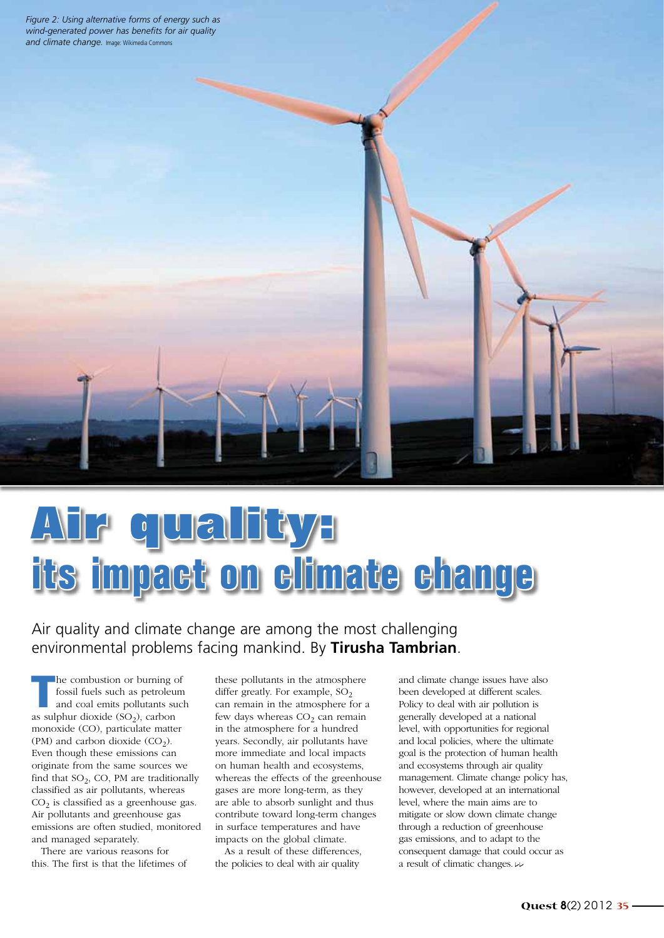*Figure 2: Using alternative forms of energy such as wind-generated power has benefits for air quality and climate change.* Image: Wikimedia Commons

## **Air quality: its impact on climate change**

## Air quality and climate change are among the most challenging environmental problems facing mankind. By **Tirusha Tambrian**.

The combustion or burning of<br>
fossil fuels such as petroleum<br>
and coal emits pollutants such<br>
and coal emits of the such as fossil fuels such as petroleum as sulphur dioxide  $(SO<sub>2</sub>)$ , carbon monoxide (CO), particulate matter (PM) and carbon dioxide  $(CO<sub>2</sub>)$ . Even though these emissions can originate from the same sources we find that  $SO<sub>2</sub>$ , CO, PM are traditionally classified as air pollutants, whereas  $CO<sub>2</sub>$  is classified as a greenhouse gas. Air pollutants and greenhouse gas emissions are often studied, monitored and managed separately.

There are various reasons for this. The first is that the lifetimes of these pollutants in the atmosphere differ greatly. For example,  $SO<sub>2</sub>$ can remain in the atmosphere for a few days whereas  $CO<sub>2</sub>$  can remain in the atmosphere for a hundred years. Secondly, air pollutants have more immediate and local impacts on human health and ecosystems, whereas the effects of the greenhouse gases are more long-term, as they are able to absorb sunlight and thus contribute toward long-term changes in surface temperatures and have impacts on the global climate.

As a result of these differences, the policies to deal with air quality

and climate change issues have also been developed at different scales. Policy to deal with air pollution is generally developed at a national level, with opportunities for regional and local policies, where the ultimate goal is the protection of human health and ecosystems through air quality management. Climate change policy has, however, developed at an international level, where the main aims are to mitigate or slow down climate change through a reduction of greenhouse gas emissions, and to adapt to the consequent damage that could occur as a result of climatic changes.